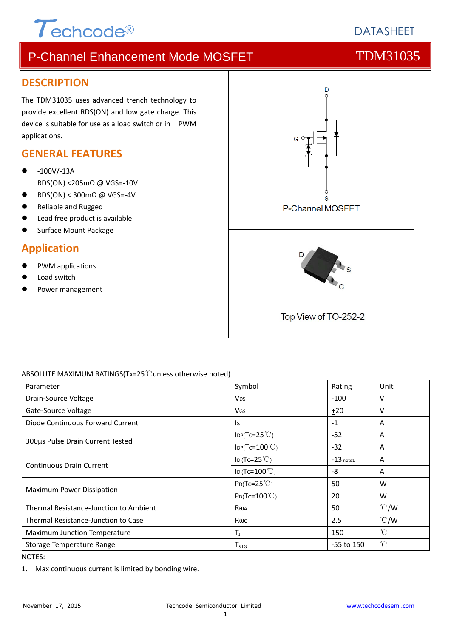

# **DATASHEFT**

# P-Channel Enhancement Mode MOSFET TOM31035

### **DESCRIPTION**

The TDM31035 uses advanced trench technology to provide excellent RDS(ON) and low gate charge. This device is suitable for use as a load switch or in PWM applications.

### **GENERAL FEATURES**

- ‐100V/‐13A RDS(ON) <205mΩ @ VGS=‐10V
- RDS(ON) < 300mΩ @ VGS=‐4V
- Reliable and Rugged
- Lead free product is available
- Surface Mount Package

## **Application**

- PWM applications
- Load switch
- Power management



### ABSOLUTE MAXIMUM RATINGS(TA=25℃unless otherwise noted)

| Parameter                                  | Symbol                               |              | Unit          |
|--------------------------------------------|--------------------------------------|--------------|---------------|
| Drain-Source Voltage                       | $-100$<br><b>V<sub>DS</sub></b>      |              | v             |
| Gate-Source Voltage                        | VGS                                  | $+20$        | v             |
| Diode Continuous Forward Current           | Is.                                  | $-1$         | A             |
|                                            | $IDP(Tc=25^{\circ}C)$                | $-52$        | A             |
| 300µs Pulse Drain Current Tested           | $\text{IDP(Tc=100}^{\circ}\text{C})$ | $-32$        | A             |
|                                            | ID (Tc=25 $°C$ )                     | $-13$ note1  | A             |
| <b>Continuous Drain Current</b>            | ID (Tc= $100^{\circ}$ C)             | -8           | A             |
|                                            | $P_{D}(Tc=25^{\circ}C)$              | 50           | W             |
| Maximum Power Dissipation                  | $P_{D}$ (Tc=100 $^{\circ}$ C)        | 20           | W             |
| Thermal Resistance-Junction to Ambient     | Reja                                 | 50           | $\degree$ C/W |
| <b>Thermal Resistance-Junction to Case</b> | Көлс                                 | 2.5          | $\degree$ C/W |
| Maximum Junction Temperature               | $T_{\rm J}$                          | 150          | $^{\circ}C$   |
| Storage Temperature Range                  | T <sub>STG</sub>                     | $-55$ to 150 | $^{\circ}\!C$ |

NOTES:

1. Max continuous current is limited by bonding wire.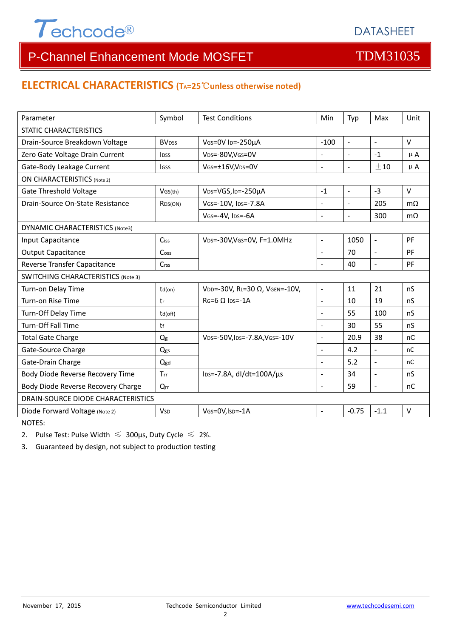

# P-Channel Enhancement Mode MOSFET TOM31035

# **ELECTRICAL CHARACTERISTICS (TA=25**℃**unless otherwise noted)**

| Parameter                                 | Symbol                  | <b>Test Conditions</b>                       | Min                      | Typ                      | Max                      | Unit           |  |  |
|-------------------------------------------|-------------------------|----------------------------------------------|--------------------------|--------------------------|--------------------------|----------------|--|--|
| <b>STATIC CHARACTERISTICS</b>             |                         |                                              |                          |                          |                          |                |  |  |
| Drain-Source Breakdown Voltage            | <b>BV<sub>DSS</sub></b> | VGS=0V ID=-250µA                             | $-100$                   | $\overline{a}$           | $\mathbf{r}$             | $\vee$         |  |  |
| Zero Gate Voltage Drain Current           | <b>IDSS</b>             | VDS=-80V,VGS=0V                              |                          |                          | $-1$                     | $\mu$ A        |  |  |
| Gate-Body Leakage Current                 | <b>I</b> GSS            | VGS=±16V,VDS=0V                              | $\overline{a}$           | $\overline{a}$           | ±10                      | $\mu$ A        |  |  |
| <b>ON CHARACTERISTICS (Note 2)</b>        |                         |                                              |                          |                          |                          |                |  |  |
| <b>Gate Threshold Voltage</b>             | VGS(th)                 | V <sub>DS</sub> =VGS, I <sub>D</sub> =-250µA | $-1$                     | $\overline{\phantom{a}}$ | $-3$                     | $\vee$         |  |  |
| Drain-Source On-State Resistance          | R <sub>DS</sub> (ON)    | VGS=-10V, IDS=-7.8A                          | ÷,                       | $\blacksquare$           | 205                      | m <sub>O</sub> |  |  |
|                                           |                         | VGS=-4V, IDS=-6A                             | $\overline{a}$           | $\overline{\phantom{0}}$ | 300                      | $m\Omega$      |  |  |
| <b>DYNAMIC CHARACTERISTICS (Note3)</b>    |                         |                                              |                          |                          |                          |                |  |  |
| Input Capacitance                         | Ciss                    | VDS=-30V, VGS=0V, F=1.0MHz                   | $\overline{a}$           | 1050                     | $\mathbb{L}$             | PF             |  |  |
| <b>Output Capacitance</b>                 | Coss                    |                                              | $\overline{a}$           | 70                       | $\blacksquare$           | PF             |  |  |
| Reverse Transfer Capacitance              | Crss                    |                                              |                          | 40                       | $\overline{\phantom{a}}$ | PF             |  |  |
| <b>SWITCHING CHARACTERISTICS (Note 3)</b> |                         |                                              |                          |                          |                          |                |  |  |
| Turn-on Delay Time                        | $td($ on $)$            | VDD=-30V, RL=30 Ω, VGEN=-10V,                | $\overline{\phantom{a}}$ | 11                       | 21                       | nS             |  |  |
| Turn-on Rise Time                         | tr                      | $RG=6$ $\Omega$ lps=-1A                      | L.                       | 10                       | 19                       | nS             |  |  |
| Turn-Off Delay Time                       | td(off)                 |                                              | $\blacksquare$           | 55                       | 100                      | nS             |  |  |
| <b>Turn-Off Fall Time</b>                 | tf                      |                                              |                          | 30                       | 55                       | nS             |  |  |
| <b>Total Gate Charge</b>                  | Qg                      | VDS=-50V, IDS=-7.8A, VGS=-10V                | $\overline{a}$           | 20.9                     | 38                       | nC             |  |  |
| Gate-Source Charge                        | Qgs                     |                                              | $\overline{a}$           | 4.2                      | $\overline{a}$           | <sub>nC</sub>  |  |  |
| Gate-Drain Charge                         | Qgd                     |                                              | $\overline{a}$           | 5.2                      | $\overline{a}$           | nC             |  |  |
| Body Diode Reverse Recovery Time          | Trr                     | lps=-7.8A, dl/dt=100A/µs                     | $\overline{a}$           | 34                       | $\overline{a}$           | nS             |  |  |
| Body Diode Reverse Recovery Charge        | $Q_{rr}$                |                                              | $\overline{a}$           | 59                       | $\frac{1}{2}$            | nC             |  |  |
| DRAIN-SOURCE DIODE CHARACTERISTICS        |                         |                                              |                          |                          |                          |                |  |  |
| Diode Forward Voltage (Note 2)            | <b>V<sub>SD</sub></b>   | VGS=0V, ISD=-1A                              | $\overline{a}$           | $-0.75$                  | $-1.1$                   | $\vee$         |  |  |

NOTES:

2. Pulse Test: Pulse Width  $\leq 300$ μs, Duty Cycle  $\leq 2\%$ .

3. Guaranteed by design, not subject to production testing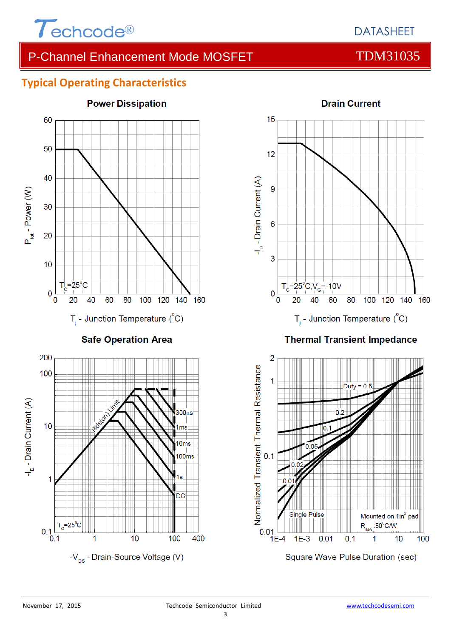

## P-Channel Enhancement Mode MOSFET TDM31035

## **Typical Operating Characteristics**





### **Thermal Transient Impedance**

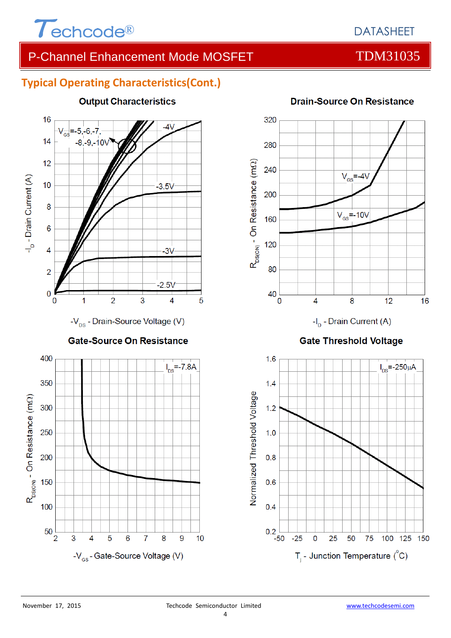

## DATASHEET

## P-Channel Enhancement Mode MOSFET TDM31035

## **Typical Operating Characteristics(Cont.)**



5

6

-V<sub>GS</sub>-Gate-Source Voltage (V)

 $\overline{7}$ 

8

9

 $10$ 

### **Output Characteristics**

**Drain-Source On Resistance** 





### **Gate Threshold Voltage**



3

 $\overline{4}$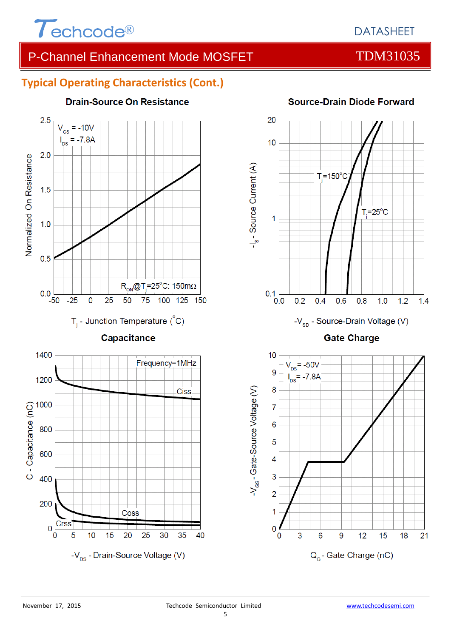

# P-Channel Enhancement Mode MOSFET TOM31035

## **Typical Operating Characteristics (Cont.)**



### **Drain-Source On Resistance**



Q<sub>c</sub>-Gate Charge (nC)

### **Source-Drain Diode Forward**

18

 $21$ 

0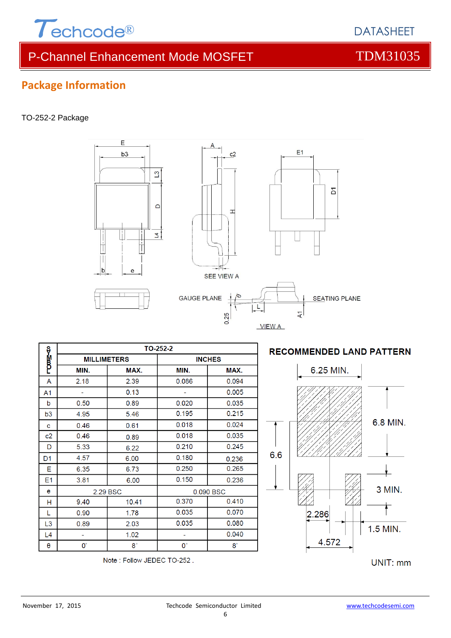

**Package Information**

TO-252-2 Package

# P-Channel Enhancement Mode MOSFET TOM31035

 $\Delta$ 

 $c<sub>2</sub>$ 

 $\mathbf{I}$ 

**SEE VIEW A** 

L

VIEW A

GAUGE PLANE  $\frac{1}{4}$ 

E

 $b3$ 

 $\theta$ 

 $\mathbf{C}$ 

 $\Box$ 

 $\overline{4}$ 

 $L4$ 

 $\theta$ 

t,

 $\mathbf{0}^{\circ}$ 

L,

 $\mathbf{0}^{\circ}$ 

0.040

 $8^\circ$ 

|                |                    |       |               | 0.25      |  |  |
|----------------|--------------------|-------|---------------|-----------|--|--|
|                | TO-252-2           |       |               |           |  |  |
| າສ⊿າ           | <b>MILLIMETERS</b> |       | <b>INCHES</b> |           |  |  |
|                | MIN.               | MAX.  | MIN.          | MAX.      |  |  |
| A              | 2.18               | 2.39  | 0.086         | 0.094     |  |  |
| A <sub>1</sub> |                    | 0.13  |               | 0.005     |  |  |
| b              | 0.50               | 0.89  | 0.020         | 0.035     |  |  |
| b3             | 4.95               | 5.46  | 0.195         | 0.215     |  |  |
| c              | 0.46               | 0.61  | 0.018         | 0.024     |  |  |
| c2             | 0.46               | 0.89  | 0.018         | 0.035     |  |  |
| D              | 5.33               | 6.22  | 0.210         | 0.245     |  |  |
| D <sub>1</sub> | 4.57               | 6.00  | 0.180         | 0.236     |  |  |
| Е              | 6.35               | 6.73  | 0.250         | 0.265     |  |  |
| E <sub>1</sub> | 3.81               | 6.00  | 0.150         | 0.236     |  |  |
| е              | 2.29 BSC           |       |               | 0.090 BSC |  |  |
| н              | 9.40               | 10.41 | 0.370         | 0.410     |  |  |
| L              | 0.90               | 1.78  | 0.035         | 0.070     |  |  |
| L <sub>3</sub> | 0.89               | 2.03  | 0.035         | 0.080     |  |  |

 $1.02$ 

8

Note: Follow JEDEC TO-252.

### **RECOMMENDED LAND PATTERN**

**SEATING PLANE** 

 $\overline{D}$ 

E<sub>1</sub>

 $\overline{A}$ 



DATASHEET